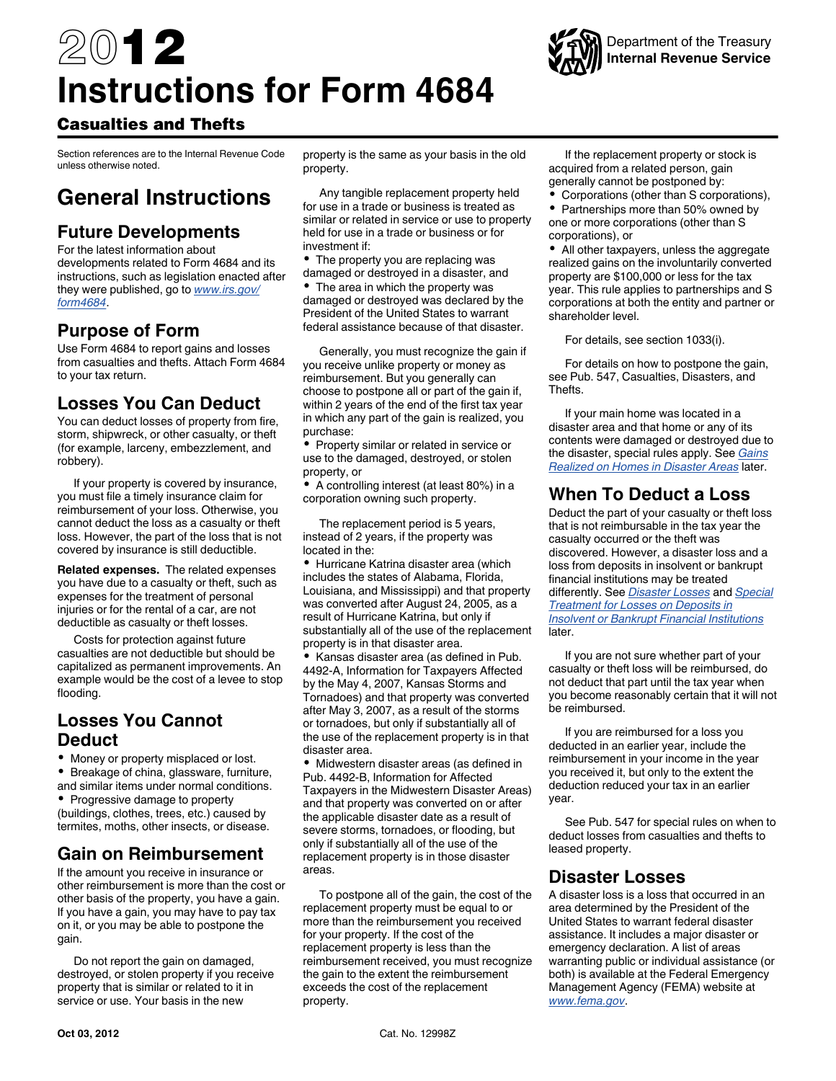# <span id="page-0-0"></span>2012 **Instructions for Form 4684**



## Casualties and Thefts

Section references are to the Internal Revenue Code unless otherwise noted.

# **General Instructions**

## **Future Developments**

For the latest information about developments related to Form 4684 and its instructions, such as legislation enacted after they were published, go to *[www.irs.gov/](http://www.irs.gov/formspubs/article/0,,id=241961,00.html) [form4684](http://www.irs.gov/formspubs/article/0,,id=241961,00.html)*.

## **Purpose of Form**

Use Form 4684 to report gains and losses from casualties and thefts. Attach Form 4684 to your tax return.

## **Losses You Can Deduct**

You can deduct losses of property from fire, storm, shipwreck, or other casualty, or theft (for example, larceny, embezzlement, and robbery).

If your property is covered by insurance, you must file a timely insurance claim for reimbursement of your loss. Otherwise, you cannot deduct the loss as a casualty or theft loss. However, the part of the loss that is not covered by insurance is still deductible.

**Related expenses.** The related expenses you have due to a casualty or theft, such as expenses for the treatment of personal injuries or for the rental of a car, are not deductible as casualty or theft losses.

Costs for protection against future casualties are not deductible but should be capitalized as permanent improvements. An example would be the cost of a levee to stop flooding.

## **Losses You Cannot Deduct**

Money or property misplaced or lost. Breakage of china, glassware, furniture, and similar items under normal conditions. Progressive damage to property (buildings, clothes, trees, etc.) caused by termites, moths, other insects, or disease.

## **Gain on Reimbursement**

If the amount you receive in insurance or other reimbursement is more than the cost or other basis of the property, you have a gain. If you have a gain, you may have to pay tax on it, or you may be able to postpone the gain.

Do not report the gain on damaged, destroyed, or stolen property if you receive property that is similar or related to it in service or use. Your basis in the new

property is the same as your basis in the old property.

Any tangible replacement property held for use in a trade or business is treated as similar or related in service or use to property held for use in a trade or business or for investment if:

 $\bullet$ The property you are replacing was damaged or destroyed in a disaster, and

• The area in which the property was damaged or destroyed was declared by the President of the United States to warrant federal assistance because of that disaster.

Generally, you must recognize the gain if you receive unlike property or money as reimbursement. But you generally can choose to postpone all or part of the gain if, within 2 years of the end of the first tax year in which any part of the gain is realized, you purchase:

 $\bullet$ Property similar or related in service or use to the damaged, destroyed, or stolen property, or

A controlling interest (at least 80%) in a corporation owning such property.

The replacement period is 5 years, instead of 2 years, if the property was located in the:

Hurricane Katrina disaster area (which includes the states of Alabama, Florida, Louisiana, and Mississippi) and that property was converted after August 24, 2005, as a result of Hurricane Katrina, but only if substantially all of the use of the replacement property is in that disaster area.

Kansas disaster area (as defined in Pub. 4492-A, Information for Taxpayers Affected by the May 4, 2007, Kansas Storms and Tornadoes) and that property was converted after May 3, 2007, as a result of the storms or tornadoes, but only if substantially all of the use of the replacement property is in that disaster area.

Midwestern disaster areas (as defined in Pub. 4492-B, Information for Affected Taxpayers in the Midwestern Disaster Areas) and that property was converted on or after the applicable disaster date as a result of severe storms, tornadoes, or flooding, but only if substantially all of the use of the replacement property is in those disaster areas.

To postpone all of the gain, the cost of the replacement property must be equal to or more than the reimbursement you received for your property. If the cost of the replacement property is less than the reimbursement received, you must recognize the gain to the extent the reimbursement exceeds the cost of the replacement property.

If the replacement property or stock is acquired from a related person, gain generally cannot be postponed by:

Corporations (other than S corporations),  $\bullet$ Partnerships more than 50% owned by one or more corporations (other than S corporations), or

All other taxpayers, unless the aggregate realized gains on the involuntarily converted property are \$100,000 or less for the tax year. This rule applies to partnerships and S corporations at both the entity and partner or shareholder level.

For details, see section 1033(i).

For details on how to postpone the gain, see Pub. 547, Casualties, Disasters, and Thefts.

If your main home was located in a disaster area and that home or any of its contents were damaged or destroyed due to the disaster, special rules apply. See *[Gains](#page-1-0)  [Realized on Homes in Disaster Areas](#page-1-0)* later.

## **When To Deduct a Loss**

Deduct the part of your casualty or theft loss that is not reimbursable in the tax year the casualty occurred or the theft was discovered. However, a disaster loss and a loss from deposits in insolvent or bankrupt financial institutions may be treated differently. See *Disaster Losses* and *[Special](#page-1-0)  [Treatment for Losses on Deposits in](#page-1-0)  [Insolvent or Bankrupt Financial Institutions](#page-1-0)*  later.

If you are not sure whether part of your casualty or theft loss will be reimbursed, do not deduct that part until the tax year when you become reasonably certain that it will not be reimbursed.

If you are reimbursed for a loss you deducted in an earlier year, include the reimbursement in your income in the year you received it, but only to the extent the deduction reduced your tax in an earlier year.

See Pub. 547 for special rules on when to deduct losses from casualties and thefts to leased property.

## **Disaster Losses**

A disaster loss is a loss that occurred in an area determined by the President of the United States to warrant federal disaster assistance. It includes a major disaster or emergency declaration. A list of areas warranting public or individual assistance (or both) is available at the Federal Emergency Management Agency (FEMA) website at *[www.fema.gov](http://www.fema.gov)*.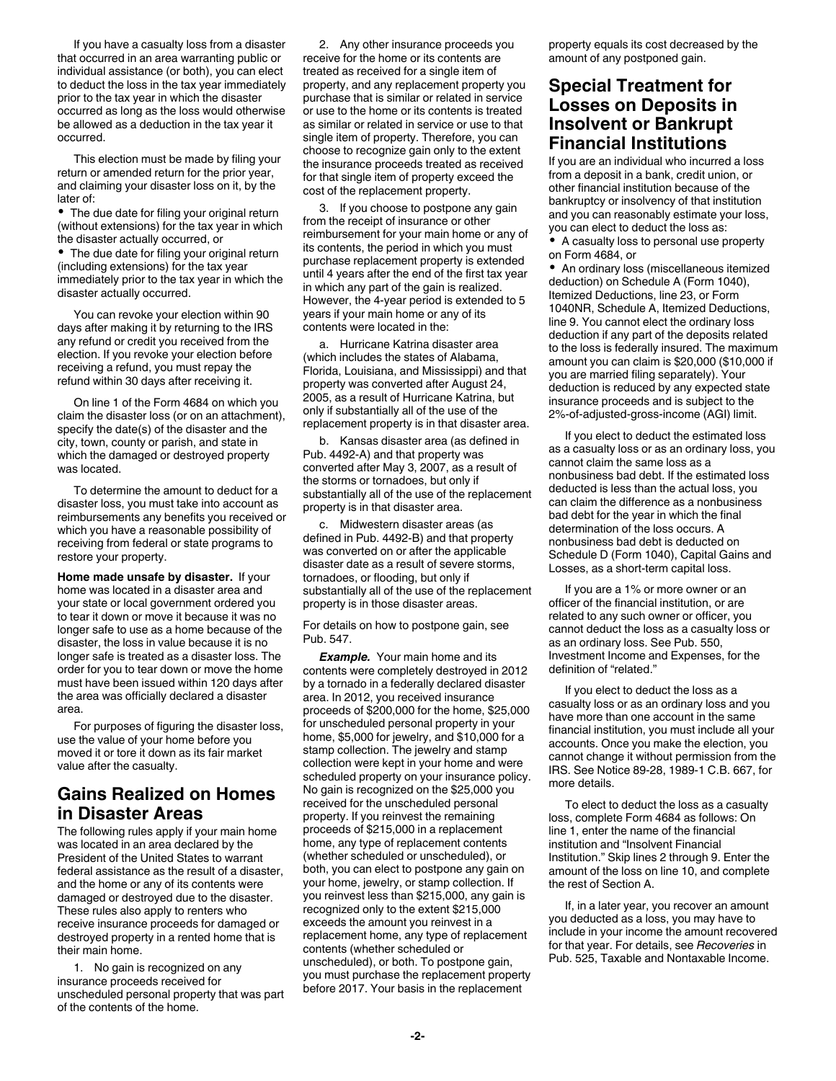<span id="page-1-0"></span>If you have a casualty loss from a disaster that occurred in an area warranting public or individual assistance (or both), you can elect to deduct the loss in the tax year immediately prior to the tax year in which the disaster occurred as long as the loss would otherwise be allowed as a deduction in the tax year it occurred.

This election must be made by filing your return or amended return for the prior year, and claiming your disaster loss on it, by the later of:

• The due date for filing your original return (without extensions) for the tax year in which the disaster actually occurred, or

The due date for filing your original return (including extensions) for the tax year immediately prior to the tax year in which the disaster actually occurred.

You can revoke your election within 90 days after making it by returning to the IRS any refund or credit you received from the election. If you revoke your election before receiving a refund, you must repay the refund within 30 days after receiving it.

On line 1 of the Form 4684 on which you claim the disaster loss (or on an attachment), specify the date(s) of the disaster and the city, town, county or parish, and state in which the damaged or destroyed property was located.

To determine the amount to deduct for a disaster loss, you must take into account as reimbursements any benefits you received or which you have a reasonable possibility of receiving from federal or state programs to restore your property.

**Home made unsafe by disaster.** If your home was located in a disaster area and your state or local government ordered you to tear it down or move it because it was no longer safe to use as a home because of the disaster, the loss in value because it is no longer safe is treated as a disaster loss. The order for you to tear down or move the home must have been issued within 120 days after the area was officially declared a disaster area.

For purposes of figuring the disaster loss, use the value of your home before you moved it or tore it down as its fair market value after the casualty.

## **Gains Realized on Homes in Disaster Areas**

The following rules apply if your main home was located in an area declared by the President of the United States to warrant federal assistance as the result of a disaster, and the home or any of its contents were damaged or destroyed due to the disaster. These rules also apply to renters who receive insurance proceeds for damaged or destroyed property in a rented home that is their main home.

1. No gain is recognized on any insurance proceeds received for unscheduled personal property that was part of the contents of the home.

2. Any other insurance proceeds you receive for the home or its contents are treated as received for a single item of property, and any replacement property you purchase that is similar or related in service or use to the home or its contents is treated as similar or related in service or use to that single item of property. Therefore, you can choose to recognize gain only to the extent the insurance proceeds treated as received for that single item of property exceed the cost of the replacement property.

3. If you choose to postpone any gain from the receipt of insurance or other reimbursement for your main home or any of its contents, the period in which you must purchase replacement property is extended until 4 years after the end of the first tax year in which any part of the gain is realized. However, the 4-year period is extended to 5 years if your main home or any of its contents were located in the:

a. Hurricane Katrina disaster area (which includes the states of Alabama, Florida, Louisiana, and Mississippi) and that property was converted after August 24, 2005, as a result of Hurricane Katrina, but only if substantially all of the use of the replacement property is in that disaster area.

b. Kansas disaster area (as defined in Pub. 4492-A) and that property was converted after May 3, 2007, as a result of the storms or tornadoes, but only if substantially all of the use of the replacement property is in that disaster area.

c. Midwestern disaster areas (as defined in Pub. 4492-B) and that property was converted on or after the applicable disaster date as a result of severe storms, tornadoes, or flooding, but only if substantially all of the use of the replacement property is in those disaster areas.

For details on how to postpone gain, see Pub. 547.

*Example.* Your main home and its contents were completely destroyed in 2012 by a tornado in a federally declared disaster area. In 2012, you received insurance proceeds of \$200,000 for the home, \$25,000 for unscheduled personal property in your home, \$5,000 for jewelry, and \$10,000 for a stamp collection. The jewelry and stamp collection were kept in your home and were scheduled property on your insurance policy. No gain is recognized on the \$25,000 you received for the unscheduled personal property. If you reinvest the remaining proceeds of \$215,000 in a replacement home, any type of replacement contents (whether scheduled or unscheduled), or both, you can elect to postpone any gain on your home, jewelry, or stamp collection. If you reinvest less than \$215,000, any gain is recognized only to the extent \$215,000 exceeds the amount you reinvest in a replacement home, any type of replacement contents (whether scheduled or unscheduled), or both. To postpone gain, you must purchase the replacement property before 2017. Your basis in the replacement

property equals its cost decreased by the amount of any postponed gain.

### **Special Treatment for Losses on Deposits in Insolvent or Bankrupt Financial Institutions**

If you are an individual who incurred a loss from a deposit in a bank, credit union, or other financial institution because of the bankruptcy or insolvency of that institution and you can reasonably estimate your loss, you can elect to deduct the loss as:

A casualty loss to personal use property on Form 4684, or

An ordinary loss (miscellaneous itemized deduction) on Schedule A (Form 1040), Itemized Deductions, line 23, or Form 1040NR, Schedule A, Itemized Deductions, line 9. You cannot elect the ordinary loss deduction if any part of the deposits related to the loss is federally insured. The maximum amount you can claim is \$20,000 (\$10,000 if you are married filing separately). Your deduction is reduced by any expected state insurance proceeds and is subject to the 2%-of-adjusted-gross-income (AGI) limit.

If you elect to deduct the estimated loss as a casualty loss or as an ordinary loss, you cannot claim the same loss as a nonbusiness bad debt. If the estimated loss deducted is less than the actual loss, you can claim the difference as a nonbusiness bad debt for the year in which the final determination of the loss occurs. A nonbusiness bad debt is deducted on Schedule D (Form 1040), Capital Gains and Losses, as a short-term capital loss.

If you are a 1% or more owner or an officer of the financial institution, or are related to any such owner or officer, you cannot deduct the loss as a casualty loss or as an ordinary loss. See Pub. 550, Investment Income and Expenses, for the definition of "related."

If you elect to deduct the loss as a casualty loss or as an ordinary loss and you have more than one account in the same financial institution, you must include all your accounts. Once you make the election, you cannot change it without permission from the IRS. See Notice 89-28, 1989-1 C.B. 667, for more details.

To elect to deduct the loss as a casualty loss, complete Form 4684 as follows: On line 1, enter the name of the financial institution and "Insolvent Financial Institution." Skip lines 2 through 9. Enter the amount of the loss on line 10, and complete the rest of Section A.

If, in a later year, you recover an amount you deducted as a loss, you may have to include in your income the amount recovered for that year. For details, see *Recoveries* in Pub. 525, Taxable and Nontaxable Income.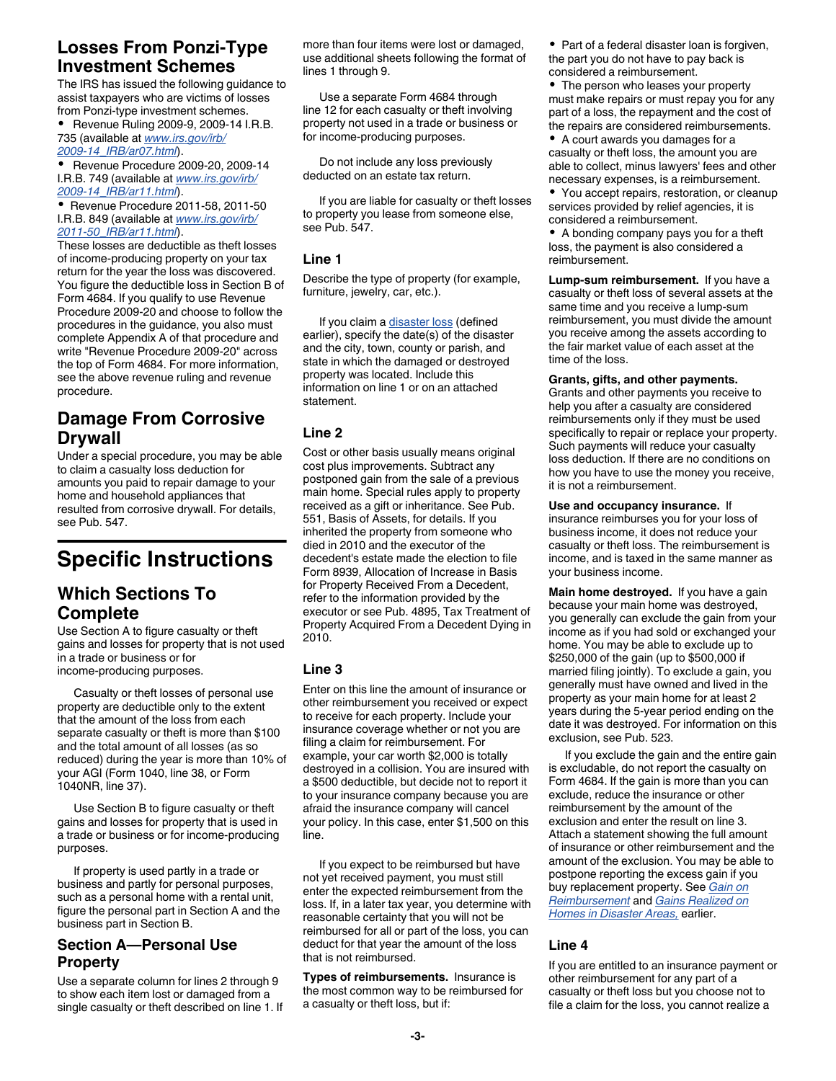## <span id="page-2-0"></span>**Losses From Ponzi-Type Investment Schemes**

The IRS has issued the following guidance to assist taxpayers who are victims of losses from Ponzi-type investment schemes. • Revenue Ruling 2009-9, 2009-14 I.R.B.

735 (available at *[www.irs.gov/irb/](http://www.irs.gov/irb/2009-14_IRB/ar07.html) [2009-14\\_IRB/ar07.html](http://www.irs.gov/irb/2009-14_IRB/ar07.html)*).

 Revenue Procedure 2009-20, 2009-14 I.R.B. 749 (available at *[www.irs.gov/irb/](http://www.irs.gov/irb/2009-14_IRB/ar11.html) [2009-14\\_IRB/ar11.html](http://www.irs.gov/irb/2009-14_IRB/ar11.html)*).

Revenue Procedure 2011-58, 2011-50 I.R.B. 849 (available at *[www.irs.gov/irb/](http://www.irs.gov/irb/2011-50_IRB/ar11.html) [2011-50\\_IRB/ar11.html](http://www.irs.gov/irb/2011-50_IRB/ar11.html)*).

These losses are deductible as theft losses of income-producing property on your tax return for the year the loss was discovered. You figure the deductible loss in Section B of Form 4684. If you qualify to use Revenue Procedure 2009-20 and choose to follow the procedures in the guidance, you also must complete Appendix A of that procedure and write "Revenue Procedure 2009-20" across the top of Form 4684. For more information, see the above revenue ruling and revenue procedure.

## **Damage From Corrosive Drywall**

Under a special procedure, you may be able to claim a casualty loss deduction for amounts you paid to repair damage to your home and household appliances that resulted from corrosive drywall. For details, see Pub. 547.

## **Specific Instructions**

## **Which Sections To Complete**

Use Section A to figure casualty or theft gains and losses for property that is not used in a trade or business or for income-producing purposes.

Casualty or theft losses of personal use property are deductible only to the extent that the amount of the loss from each separate casualty or theft is more than \$100 and the total amount of all losses (as so reduced) during the year is more than 10% of your AGI (Form 1040, line 38, or Form 1040NR, line 37).

Use Section B to figure casualty or theft gains and losses for property that is used in a trade or business or for income-producing purposes.

If property is used partly in a trade or business and partly for personal purposes, such as a personal home with a rental unit, figure the personal part in Section A and the business part in Section B.

#### **Section A—Personal Use Property**

Use a separate column for lines 2 through 9 to show each item lost or damaged from a single casualty or theft described on line 1. If

more than four items were lost or damaged, use additional sheets following the format of lines 1 through 9.

Use a separate Form 4684 through line 12 for each casualty or theft involving property not used in a trade or business or for income-producing purposes.

Do not include any loss previously deducted on an estate tax return.

If you are liable for casualty or theft losses to property you lease from someone else, see Pub. 547.

#### **Line 1**

Describe the type of property (for example, furniture, jewelry, car, etc.).

If you claim a [disaster loss](#page-0-0) (defined earlier), specify the date(s) of the disaster and the city, town, county or parish, and state in which the damaged or destroyed property was located. Include this information on line 1 or on an attached statement.

#### **Line 2**

Cost or other basis usually means original cost plus improvements. Subtract any postponed gain from the sale of a previous main home. Special rules apply to property received as a gift or inheritance. See Pub. 551, Basis of Assets, for details. If you inherited the property from someone who died in 2010 and the executor of the decedent's estate made the election to file Form 8939, Allocation of Increase in Basis for Property Received From a Decedent, refer to the information provided by the executor or see Pub. 4895, Tax Treatment of Property Acquired From a Decedent Dying in 2010.

#### **Line 3**

Enter on this line the amount of insurance or other reimbursement you received or expect to receive for each property. Include your insurance coverage whether or not you are filing a claim for reimbursement. For example, your car worth \$2,000 is totally destroyed in a collision. You are insured with a \$500 deductible, but decide not to report it to your insurance company because you are afraid the insurance company will cancel your policy. In this case, enter \$1,500 on this line.

If you expect to be reimbursed but have not yet received payment, you must still enter the expected reimbursement from the loss. If, in a later tax year, you determine with reasonable certainty that you will not be reimbursed for all or part of the loss, you can deduct for that year the amount of the loss that is not reimbursed.

**Types of reimbursements.** Insurance is the most common way to be reimbursed for a casualty or theft loss, but if:

• Part of a federal disaster loan is forgiven, the part you do not have to pay back is considered a reimbursement.

• The person who leases your property must make repairs or must repay you for any part of a loss, the repayment and the cost of the repairs are considered reimbursements.

A court awards you damages for a casualty or theft loss, the amount you are able to collect, minus lawyers' fees and other necessary expenses, is a reimbursement.

You accept repairs, restoration, or cleanup services provided by relief agencies, it is considered a reimbursement.

A bonding company pays you for a theft loss, the payment is also considered a reimbursement.

**Lump-sum reimbursement.** If you have a casualty or theft loss of several assets at the same time and you receive a lump-sum reimbursement, you must divide the amount you receive among the assets according to the fair market value of each asset at the time of the loss.

#### **Grants, gifts, and other payments.**

Grants and other payments you receive to help you after a casualty are considered reimbursements only if they must be used specifically to repair or replace your property. Such payments will reduce your casualty loss deduction. If there are no conditions on how you have to use the money you receive, it is not a reimbursement.

#### **Use and occupancy insurance.** If

insurance reimburses you for your loss of business income, it does not reduce your casualty or theft loss. The reimbursement is income, and is taxed in the same manner as your business income.

**Main home destroyed.** If you have a gain because your main home was destroyed, you generally can exclude the gain from your income as if you had sold or exchanged your home. You may be able to exclude up to \$250,000 of the gain (up to \$500,000 if married filing jointly). To exclude a gain, you generally must have owned and lived in the property as your main home for at least 2 years during the 5-year period ending on the date it was destroyed. For information on this exclusion, see Pub. 523.

If you exclude the gain and the entire gain is excludable, do not report the casualty on Form 4684. If the gain is more than you can exclude, reduce the insurance or other reimbursement by the amount of the exclusion and enter the result on line 3. Attach a statement showing the full amount of insurance or other reimbursement and the amount of the exclusion. You may be able to postpone reporting the excess gain if you buy replacement property. See *[Gain on](#page-0-0)  [Reimbursement](#page-0-0)* and *[Gains Realized on](#page-1-0)  [Homes in Disaster Areas,](#page-1-0)* earlier.

#### **Line 4**

If you are entitled to an insurance payment or other reimbursement for any part of a casualty or theft loss but you choose not to file a claim for the loss, you cannot realize a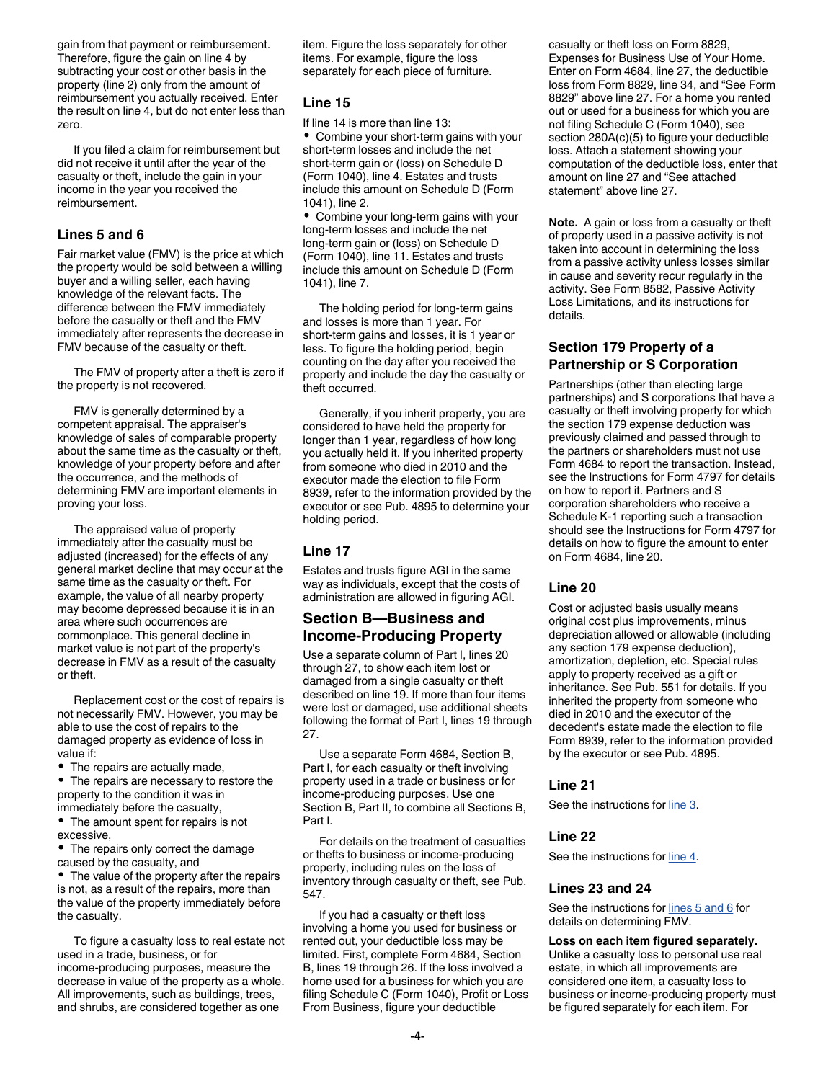gain from that payment or reimbursement. Therefore, figure the gain on line 4 by subtracting your cost or other basis in the property (line 2) only from the amount of reimbursement you actually received. Enter the result on line 4, but do not enter less than zero.

If you filed a claim for reimbursement but did not receive it until after the year of the casualty or theft, include the gain in your income in the year you received the reimbursement.

#### **Lines 5 and 6**

Fair market value (FMV) is the price at which the property would be sold between a willing buyer and a willing seller, each having knowledge of the relevant facts. The difference between the FMV immediately before the casualty or theft and the FMV immediately after represents the decrease in FMV because of the casualty or theft.

The FMV of property after a theft is zero if the property is not recovered.

FMV is generally determined by a competent appraisal. The appraiser's knowledge of sales of comparable property about the same time as the casualty or theft, knowledge of your property before and after the occurrence, and the methods of determining FMV are important elements in proving your loss.

The appraised value of property immediately after the casualty must be adjusted (increased) for the effects of any general market decline that may occur at the same time as the casualty or theft. For example, the value of all nearby property may become depressed because it is in an area where such occurrences are commonplace. This general decline in market value is not part of the property's decrease in FMV as a result of the casualty or theft.

Replacement cost or the cost of repairs is not necessarily FMV. However, you may be able to use the cost of repairs to the damaged property as evidence of loss in value if:

• The repairs are actually made,

The repairs are necessary to restore the property to the condition it was in immediately before the casualty,

- The amount spent for repairs is not excessive,
- The repairs only correct the damage caused by the casualty, and

• The value of the property after the repairs is not, as a result of the repairs, more than the value of the property immediately before the casualty.

To figure a casualty loss to real estate not used in a trade, business, or for income-producing purposes, measure the decrease in value of the property as a whole. All improvements, such as buildings, trees, and shrubs, are considered together as one

item. Figure the loss separately for other items. For example, figure the loss separately for each piece of furniture.

#### **Line 15**

If line 14 is more than line 13:

Combine your short-term gains with your short-term losses and include the net short-term gain or (loss) on Schedule D (Form 1040), line 4. Estates and trusts include this amount on Schedule D (Form 1041), line 2.

Combine your long-term gains with your long-term losses and include the net long-term gain or (loss) on Schedule D (Form 1040), line 11. Estates and trusts include this amount on Schedule D (Form 1041), line 7.

The holding period for long-term gains and losses is more than 1 year. For short-term gains and losses, it is 1 year or less. To figure the holding period, begin counting on the day after you received the property and include the day the casualty or theft occurred.

Generally, if you inherit property, you are considered to have held the property for longer than 1 year, regardless of how long you actually held it. If you inherited property from someone who died in 2010 and the executor made the election to file Form 8939, refer to the information provided by the executor or see Pub. 4895 to determine your holding period.

#### **Line 17**

Estates and trusts figure AGI in the same way as individuals, except that the costs of administration are allowed in figuring AGI.

#### **Section B—Business and Income-Producing Property**

Use a separate column of Part I, lines 20 through 27, to show each item lost or damaged from a single casualty or theft described on line 19. If more than four items were lost or damaged, use additional sheets following the format of Part I, lines 19 through 27.

Use a separate Form 4684, Section B, Part I, for each casualty or theft involving property used in a trade or business or for income-producing purposes. Use one Section B, Part II, to combine all Sections B, Part I.

For details on the treatment of casualties or thefts to business or income-producing property, including rules on the loss of inventory through casualty or theft, see Pub. 547.

If you had a casualty or theft loss involving a home you used for business or rented out, your deductible loss may be limited. First, complete Form 4684, Section B, lines 19 through 26. If the loss involved a home used for a business for which you are filing Schedule C (Form 1040), Profit or Loss From Business, figure your deductible

casualty or theft loss on Form 8829, Expenses for Business Use of Your Home. Enter on Form 4684, line 27, the deductible loss from Form 8829, line 34, and "See Form 8829" above line 27. For a home you rented out or used for a business for which you are not filing Schedule C (Form 1040), see section 280A(c)(5) to figure your deductible loss. Attach a statement showing your computation of the deductible loss, enter that amount on line 27 and "See attached statement" above line 27.

**Note.** A gain or loss from a casualty or theft of property used in a passive activity is not taken into account in determining the loss from a passive activity unless losses similar in cause and severity recur regularly in the activity. See Form 8582, Passive Activity Loss Limitations, and its instructions for details.

#### **Section 179 Property of a Partnership or S Corporation**

Partnerships (other than electing large partnerships) and S corporations that have a casualty or theft involving property for which the section 179 expense deduction was previously claimed and passed through to the partners or shareholders must not use Form 4684 to report the transaction. Instead, see the Instructions for Form 4797 for details on how to report it. Partners and S corporation shareholders who receive a Schedule K-1 reporting such a transaction should see the Instructions for Form 4797 for details on how to figure the amount to enter on Form 4684, line 20.

#### **Line 20**

Cost or adjusted basis usually means original cost plus improvements, minus depreciation allowed or allowable (including any section 179 expense deduction), amortization, depletion, etc. Special rules apply to property received as a gift or inheritance. See Pub. 551 for details. If you inherited the property from someone who died in 2010 and the executor of the decedent's estate made the election to file Form 8939, refer to the information provided by the executor or see Pub. 4895.

#### **Line 21**

See the instructions for [line 3.](#page-2-0)

#### **Line 22**

See the instructions for [line 4.](#page-2-0)

#### **Lines 23 and 24**

See the instructions for lines 5 and 6 for details on determining FMV.

#### **Loss on each item figured separately.**

Unlike a casualty loss to personal use real estate, in which all improvements are considered one item, a casualty loss to business or income-producing property must be figured separately for each item. For